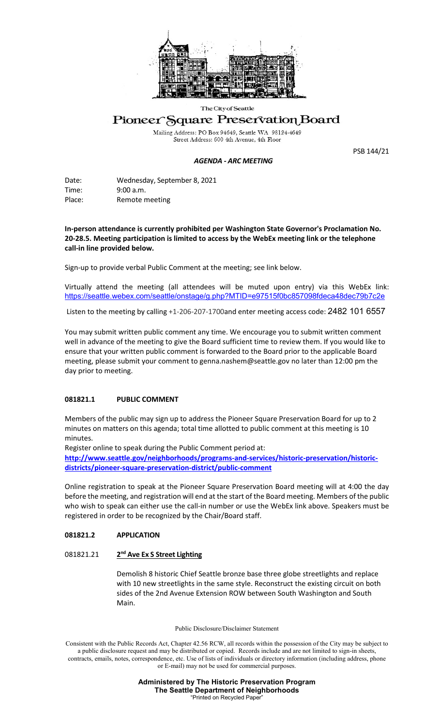

#### The City of Seattle

# Pioneer Square Preservation Board

Mailing Address: PO Box 94649, Seattle WA 98124-4649<br>Street Address: 600 4th Avenue, 4th Floor

#### *AGENDA - ARC MEETING*

PSB 144/21

Date: Wednesday, September 8, 2021 Time: 9:00 a.m. Place: Remote meeting

**In-person attendance is currently prohibited per Washington State Governor's Proclamation No. 20-28.5. Meeting participation is limited to access by the WebEx meeting link or the telephone call-in line provided below.** 

Sign-up to provide verbal Public Comment at the meeting; see link below.

Virtually attend the meeting (all attendees will be muted upon entry) via this WebEx link: <https://seattle.webex.com/seattle/onstage/g.php?MTID=e97515f0bc857098fdeca48dec79b7c2e>

Listen to the meeting by calling +1-206-207-1700and enter meeting access code: 2482 101 6557

You may submit written public comment any time. We encourage you to submit written comment well in advance of the meeting to give the Board sufficient time to review them. If you would like to ensure that your written public comment is forwarded to the Board prior to the applicable Board meeting, please submit your comment to genna.nashem@seattle.gov no later than 12:00 pm the day prior to meeting.

## **081821.1 PUBLIC COMMENT**

Members of the public may sign up to address the Pioneer Square Preservation Board for up to 2 minutes on matters on this agenda; total time allotted to public comment at this meeting is 10 minutes.

Register online to speak during the Public Comment period at:

**[http://www.seattle.gov/neighborhoods/programs-and-services/historic-preservation/historic](http://www.seattle.gov/neighborhoods/programs-and-services/historic-preservation/historic-districts/pioneer-square-preservation-district/public-comment)[districts/pioneer-square-preservation-district/public-comment](http://www.seattle.gov/neighborhoods/programs-and-services/historic-preservation/historic-districts/pioneer-square-preservation-district/public-comment)**

Online registration to speak at the Pioneer Square Preservation Board meeting will at 4:00 the day before the meeting, and registration will end at the start of the Board meeting. Members of the public who wish to speak can either use the call-in number or use the WebEx link above. Speakers must be registered in order to be recognized by the Chair/Board staff.

## **081821.2 APPLICATION**

## 081821.21 **2nd Ave Ex S Street Lighting**

Demolish 8 historic Chief Seattle bronze base three globe streetlights and replace with 10 new streetlights in the same style. Reconstruct the existing circuit on both sides of the 2nd Avenue Extension ROW between South Washington and South Main.

Public Disclosure/Disclaimer Statement

Consistent with the Public Records Act, Chapter 42.56 RCW, all records within the possession of the City may be subject to a public disclosure request and may be distributed or copied. Records include and are not limited to sign-in sheets, contracts, emails, notes, correspondence, etc. Use of lists of individuals or directory information (including address, phone or E-mail) may not be used for commercial purposes.

> **Administered by The Historic Preservation Program The Seattle Department of Neighborhoods** "Printed on Recycled Paper"